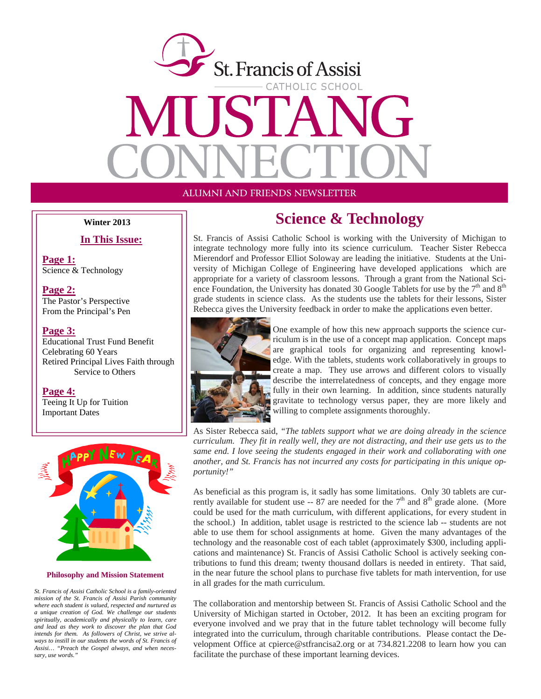

ALUMNI AND FRIENDS NEWSLETTER

**In This Issue:**

**Page 1:** Science & Technology

**Page 2:** The Pastor's Perspective From the Principal's Pen

#### **Page 3:**

Educational Trust Fund Benefit Celebrating 60 Years Retired Principal Lives Faith through Service to Others

**Page 4:** Teeing It Up for Tuition Important Dates



#### **Philosophy and Mission Statement**

*St. Francis of Assisi Catholic School is a family-oriented mission of the St. Francis of Assisi Parish community where each student is valued, respected and nurtured as a unique creation of God. We challenge our students spiritually, academically and physically to learn, care and lead as they work to discover the plan that God intends for them. As followers of Christ, we strive always to instill in our students the words of St. Francis of Assisi… "Preach the Gospel always, and when necessary, use words."* 

### **Winter 2013** Science & Technology

St. Francis of Assisi Catholic School is working with the University of Michigan to integrate technology more fully into its science curriculum. Teacher Sister Rebecca Mierendorf and Professor Elliot Soloway are leading the initiative. Students at the University of Michigan College of Engineering have developed applications which are appropriate for a variety of classroom lessons. Through a grant from the National Science Foundation, the University has donated 30 Google Tablets for use by the  $7<sup>th</sup>$  and  $8<sup>th</sup>$ grade students in science class. As the students use the tablets for their lessons, Sister Rebecca gives the University feedback in order to make the applications even better.



One example of how this new approach supports the science curriculum is in the use of a concept map application. Concept maps are graphical tools for organizing and representing knowledge. With the tablets, students work collaboratively in groups to create a map. They use arrows and different colors to visually describe the interrelatedness of concepts, and they engage more fully in their own learning. In addition, since students naturally gravitate to technology versus paper, they are more likely and willing to complete assignments thoroughly.

As Sister Rebecca said, *"The tablets support what we are doing already in the science curriculum. They fit in really well, they are not distracting, and their use gets us to the same end. I love seeing the students engaged in their work and collaborating with one another, and St. Francis has not incurred any costs for participating in this unique opportunity!"*

As beneficial as this program is, it sadly has some limitations. Only 30 tablets are currently available for student use -- 87 are needed for the  $7<sup>th</sup>$  and  $8<sup>th</sup>$  grade alone. (More could be used for the math curriculum, with different applications, for every student in the school.) In addition, tablet usage is restricted to the science lab -- students are not able to use them for school assignments at home. Given the many advantages of the technology and the reasonable cost of each tablet (approximately \$300, including applications and maintenance) St. Francis of Assisi Catholic School is actively seeking contributions to fund this dream; twenty thousand dollars is needed in entirety. That said, in the near future the school plans to purchase five tablets for math intervention, for use in all grades for the math curriculum.

The collaboration and mentorship between St. Francis of Assisi Catholic School and the University of Michigan started in October, 2012. It has been an exciting program for everyone involved and we pray that in the future tablet technology will become fully integrated into the curriculum, through charitable contributions. Please contact the Development Office at cpierce@stfrancisa2.org or at 734.821.2208 to learn how you can facilitate the purchase of these important learning devices.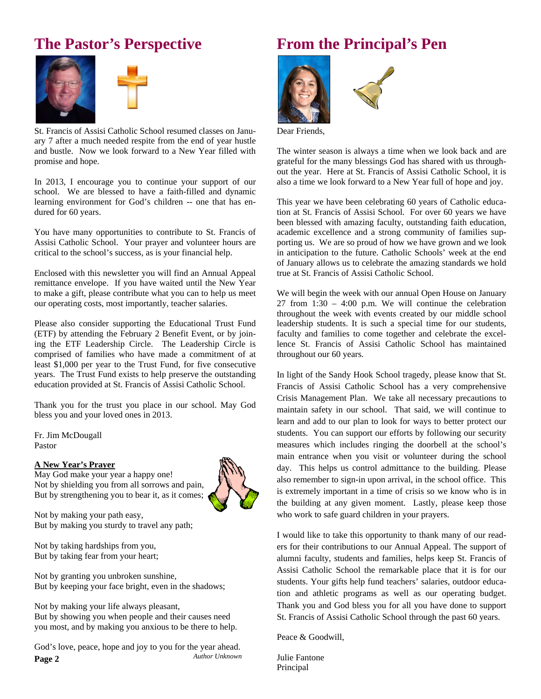# **The Pastor's Perspective**





St. Francis of Assisi Catholic School resumed classes on January 7 after a much needed respite from the end of year hustle and bustle. Now we look forward to a New Year filled with promise and hope.

In 2013, I encourage you to continue your support of our school. We are blessed to have a faith-filled and dynamic learning environment for God's children -- one that has endured for 60 years.

You have many opportunities to contribute to St. Francis of Assisi Catholic School. Your prayer and volunteer hours are critical to the school's success, as is your financial help.

Enclosed with this newsletter you will find an Annual Appeal remittance envelope. If you have waited until the New Year to make a gift, please contribute what you can to help us meet our operating costs, most importantly, teacher salaries.

Please also consider supporting the Educational Trust Fund (ETF) by attending the February 2 Benefit Event, or by joining the ETF Leadership Circle. The Leadership Circle is comprised of families who have made a commitment of at least \$1,000 per year to the Trust Fund, for five consecutive years. The Trust Fund exists to help preserve the outstanding education provided at St. Francis of Assisi Catholic School.

Thank you for the trust you place in our school. May God bless you and your loved ones in 2013.

Fr. Jim McDougall Pastor

#### **A New Year's Prayer**

May God make your year a happy one! Not by shielding you from all sorrows and pain, But by strengthening you to bear it, as it comes;

Not by making your path easy, But by making you sturdy to travel any path;

Not by taking hardships from you, But by taking fear from your heart;

Not by granting you unbroken sunshine, But by keeping your face bright, even in the shadows;

Not by making your life always pleasant, But by showing you when people and their causes need you most, and by making you anxious to be there to help.

**Page 2**  God's love, peace, hope and joy to you for the year ahead. *Author Unknown*

# **From the Principal's Pen**





Dear Friends,

The winter season is always a time when we look back and are grateful for the many blessings God has shared with us throughout the year. Here at St. Francis of Assisi Catholic School, it is also a time we look forward to a New Year full of hope and joy.

This year we have been celebrating 60 years of Catholic education at St. Francis of Assisi School. For over 60 years we have been blessed with amazing faculty, outstanding faith education, academic excellence and a strong community of families supporting us. We are so proud of how we have grown and we look in anticipation to the future. Catholic Schools' week at the end of January allows us to celebrate the amazing standards we hold true at St. Francis of Assisi Catholic School.

We will begin the week with our annual Open House on January 27 from 1:30 – 4:00 p.m. We will continue the celebration throughout the week with events created by our middle school leadership students. It is such a special time for our students, faculty and families to come together and celebrate the excellence St. Francis of Assisi Catholic School has maintained throughout our 60 years.

In light of the Sandy Hook School tragedy, please know that St. Francis of Assisi Catholic School has a very comprehensive Crisis Management Plan. We take all necessary precautions to maintain safety in our school. That said, we will continue to learn and add to our plan to look for ways to better protect our students. You can support our efforts by following our security measures which includes ringing the doorbell at the school's main entrance when you visit or volunteer during the school day. This helps us control admittance to the building. Please also remember to sign-in upon arrival, in the school office. This is extremely important in a time of crisis so we know who is in the building at any given moment. Lastly, please keep those who work to safe guard children in your prayers.

I would like to take this opportunity to thank many of our readers for their contributions to our Annual Appeal. The support of alumni faculty, students and families, helps keep St. Francis of Assisi Catholic School the remarkable place that it is for our students. Your gifts help fund teachers' salaries, outdoor education and athletic programs as well as our operating budget. Thank you and God bless you for all you have done to support St. Francis of Assisi Catholic School through the past 60 years.

Peace & Goodwill,

Julie Fantone Principal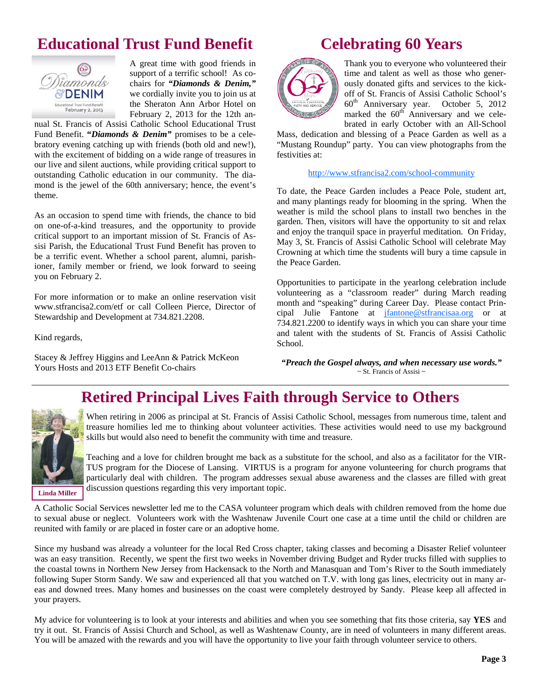# **Educational Trust Fund Benefit**



A great time with good friends in support of a terrific school! As co-<br>*igmonds* chairs for "*Diamonds & Denim.*" chairs for *"Diamonds & Denim,"*   $\mathscr{C}$ **DENIM** we cordially invite you to join us at  $t_{\text{total Teurl}}$  Fund Benefit **the Sheraton Ann Arbor Hotel on** February 2, 2013 for the 12th an-

nual St. Francis of Assisi Catholic School Educational Trust Fund Benefit. **"***Diamonds & Denim"* promises to be a celebratory evening catching up with friends (both old and new!), with the excitement of bidding on a wide range of treasures in our live and silent auctions, while providing critical support to outstanding Catholic education in our community. The diamond is the jewel of the 60th anniversary; hence, the event's theme.

As an occasion to spend time with friends, the chance to bid on one-of-a-kind treasures, and the opportunity to provide critical support to an important mission of St. Francis of Assisi Parish, the Educational Trust Fund Benefit has proven to be a terrific event. Whether a school parent, alumni, parishioner, family member or friend, we look forward to seeing you on February 2.

For more information or to make an online reservation visit www.stfrancisa2.com/etf or call Colleen Pierce, Director of Stewardship and Development at 734.821.2208.

Kind regards,

Stacey & Jeffrey Higgins and LeeAnn & Patrick McKeon Yours Hosts and 2013 ETF Benefit Co-chairs

### **Celebrating 60 Years**



Thank you to everyone who volunteered their time and talent as well as those who generously donated gifts and services to the kickoff of St. Francis of Assisi Catholic School's 60th Anniversary year. October 5, 2012 marked the  $60<sup>th</sup>$  Anniversary and we celebrated in early October with an All-School

Mass, dedication and blessing of a Peace Garden as well as a "Mustang Roundup" party. You can view photographs from the festivities at:

http://www.stfrancisa2.com/school-community

To date, the Peace Garden includes a Peace Pole, student art, and many plantings ready for blooming in the spring. When the weather is mild the school plans to install two benches in the garden. Then, visitors will have the opportunity to sit and relax and enjoy the tranquil space in prayerful meditation. On Friday, May 3, St. Francis of Assisi Catholic School will celebrate May Crowning at which time the students will bury a time capsule in the Peace Garden.

Opportunities to participate in the yearlong celebration include volunteering as a "classroom reader" during March reading month and "speaking" during Career Day. Please contact Principal Julie Fantone at jfantone@stfrancisaa.org or at 734.821.2200 to identify ways in which you can share your time and talent with the students of St. Francis of Assisi Catholic School.

*"Preach the Gospel always, and when necessary use words."*   $\sim$  St. Francis of Assisi  $\sim$ 

# **Retired Principal Lives Faith through Service to Others**



When retiring in 2006 as principal at St. Francis of Assisi Catholic School, messages from numerous time, talent and treasure homilies led me to thinking about volunteer activities. These activities would need to use my background skills but would also need to benefit the community with time and treasure.

Teaching and a love for children brought me back as a substitute for the school, and also as a facilitator for the VIR-TUS program for the Diocese of Lansing. VIRTUS is a program for anyone volunteering for church programs that particularly deal with children. The program addresses sexual abuse awareness and the classes are filled with great discussion questions regarding this very important topic.

**Linda Miller** 

A Catholic Social Services newsletter led me to the CASA volunteer program which deals with children removed from the home due to sexual abuse or neglect. Volunteers work with the Washtenaw Juvenile Court one case at a time until the child or children are reunited with family or are placed in foster care or an adoptive home.

Since my husband was already a volunteer for the local Red Cross chapter, taking classes and becoming a Disaster Relief volunteer was an easy transition. Recently, we spent the first two weeks in November driving Budget and Ryder trucks filled with supplies to the coastal towns in Northern New Jersey from Hackensack to the North and Manasquan and Tom's River to the South immediately following Super Storm Sandy. We saw and experienced all that you watched on T.V. with long gas lines, electricity out in many areas and downed trees. Many homes and businesses on the coast were completely destroyed by Sandy. Please keep all affected in your prayers.

My advice for volunteering is to look at your interests and abilities and when you see something that fits those criteria, say **YES** and try it out. St. Francis of Assisi Church and School, as well as Washtenaw County, are in need of volunteers in many different areas. You will be amazed with the rewards and you will have the opportunity to live your faith through volunteer service to others.